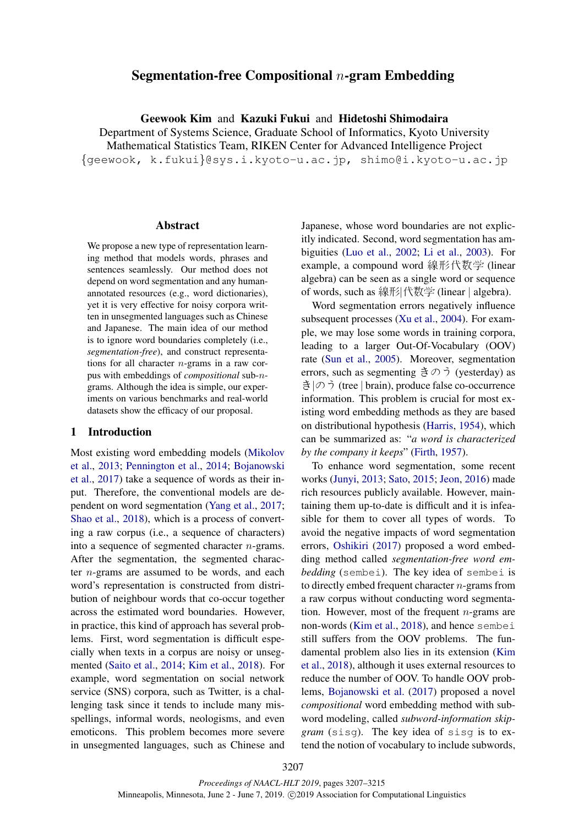# Segmentation-free Compositional  $n$ -gram Embedding

Geewook Kim and Kazuki Fukui and Hidetoshi Shimodaira

Department of Systems Science, Graduate School of Informatics, Kyoto University Mathematical Statistics Team, RIKEN Center for Advanced Intelligence Project {geewook, k.fukui}@sys.i.kyoto-u.ac.jp, shimo@i.kyoto-u.ac.jp

### Abstract

We propose a new type of representation learning method that models words, phrases and sentences seamlessly. Our method does not depend on word segmentation and any humanannotated resources (e.g., word dictionaries), yet it is very effective for noisy corpora written in unsegmented languages such as Chinese and Japanese. The main idea of our method is to ignore word boundaries completely (i.e., *segmentation-free*), and construct representations for all character  $n$ -grams in a raw corpus with embeddings of *compositional* sub-ngrams. Although the idea is simple, our experiments on various benchmarks and real-world datasets show the efficacy of our proposal.

## 1 Introduction

Most existing word embedding models (Mikolov et al., 2013; Pennington et al., 2014; Bojanowski et al., 2017) take a sequence of words as their input. Therefore, the conventional models are dependent on word segmentation (Yang et al., 2017; Shao et al., 2018), which is a process of converting a raw corpus (i.e., a sequence of characters) into a sequence of segmented character n-grams. After the segmentation, the segmented character n-grams are assumed to be words, and each word's representation is constructed from distribution of neighbour words that co-occur together across the estimated word boundaries. However, in practice, this kind of approach has several problems. First, word segmentation is difficult especially when texts in a corpus are noisy or unsegmented (Saito et al., 2014; Kim et al., 2018). For example, word segmentation on social network service (SNS) corpora, such as Twitter, is a challenging task since it tends to include many misspellings, informal words, neologisms, and even emoticons. This problem becomes more severe in unsegmented languages, such as Chinese and

Japanese, whose word boundaries are not explicitly indicated. Second, word segmentation has ambiguities (Luo et al., 2002; Li et al., 2003). For example, a compound word 線形代数学 (linear algebra) can be seen as a single word or sequence of words, such as 線形|代数学 (linear | algebra).

Word segmentation errors negatively influence subsequent processes (Xu et al., 2004). For example, we may lose some words in training corpora, leading to a larger Out-Of-Vocabulary (OOV) rate (Sun et al., 2005). Moreover, segmentation errors, such as segmenting きのう (yesterday) as き|のう (tree | brain), produce false co-occurrence information. This problem is crucial for most existing word embedding methods as they are based on distributional hypothesis (Harris, 1954), which can be summarized as: "*a word is characterized by the company it keeps*" (Firth, 1957).

To enhance word segmentation, some recent works (Junyi, 2013; Sato, 2015; Jeon, 2016) made rich resources publicly available. However, maintaining them up-to-date is difficult and it is infeasible for them to cover all types of words. To avoid the negative impacts of word segmentation errors, Oshikiri (2017) proposed a word embedding method called *segmentation-free word embedding* (sembei). The key idea of sembei is to directly embed frequent character  $n$ -grams from a raw corpus without conducting word segmentation. However, most of the frequent  $n$ -grams are non-words (Kim et al., 2018), and hence sembei still suffers from the OOV problems. The fundamental problem also lies in its extension (Kim et al., 2018), although it uses external resources to reduce the number of OOV. To handle OOV problems, Bojanowski et al. (2017) proposed a novel *compositional* word embedding method with subword modeling, called *subword-information skipgram* (sisg). The key idea of sisg is to extend the notion of vocabulary to include subwords,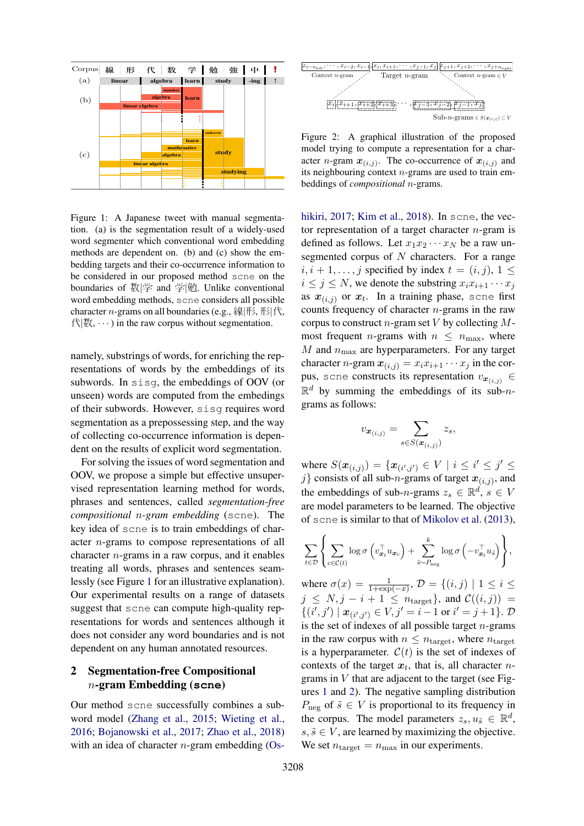

Figure 1: A Japanese tweet with manual segmentation. (a) is the segmentation result of a widely-used word segmenter which conventional word embedding methods are dependent on. (b) and (c) show the embedding targets and their co-occurrence information to be considered in our proposed method scne on the boundaries of 数|学 and 学|勉. Unlike conventional word embedding methods, scne considers all possible character *n*-grams on all boundaries (e.g., 線形, 形代,  $\triangle$ |数,  $\cdots$ ) in the raw corpus without segmentation.

namely, substrings of words, for enriching the representations of words by the embeddings of its subwords. In sisg, the embeddings of OOV (or unseen) words are computed from the embedings of their subwords. However, sisg requires word segmentation as a prepossessing step, and the way of collecting co-occurrence information is dependent on the results of explicit word segmentation.

For solving the issues of word segmentation and OOV, we propose a simple but effective unsupervised representation learning method for words, phrases and sentences, called *segmentation-free compositional* n*-gram embedding* (scne). The key idea of scne is to train embeddings of character n-grams to compose representations of all character  $n$ -grams in a raw corpus, and it enables treating all words, phrases and sentences seamlessly (see Figure 1 for an illustrative explanation). Our experimental results on a range of datasets suggest that scne can compute high-quality representations for words and sentences although it does not consider any word boundaries and is not dependent on any human annotated resources.

# 2 Segmentation-free Compositional n-gram Embedding (**scne**)

Our method scne successfully combines a subword model (Zhang et al., 2015; Wieting et al., 2016; Bojanowski et al., 2017; Zhao et al., 2018) with an idea of character  $n$ -gram embedding (Os-



Figure 2: A graphical illustration of the proposed model trying to compute a representation for a character *n*-gram  $x_{(i,j)}$ . The co-occurrence of  $x_{(i,j)}$  and its neighbouring context  $n$ -grams are used to train embeddings of *compositional* n-grams.

hikiri, 2017; Kim et al., 2018). In scne, the vector representation of a target character  $n$ -gram is defined as follows. Let  $x_1x_2 \cdots x_N$  be a raw unsegmented corpus of  $N$  characters. For a range  $i, i + 1, \ldots, j$  specified by index  $t = (i, j), 1 \leq j$  $i \leq j \leq N$ , we denote the substring  $x_i x_{i+1} \cdots x_j$ as  $x_{(i,j)}$  or  $x_t$ . In a training phase, scne first counts frequency of character  $n$ -grams in the raw corpus to construct *n*-gram set  $V$  by collecting  $M$ most frequent *n*-grams with  $n \leq n_{\text{max}}$ , where  $M$  and  $n_{\text{max}}$  are hyperparameters. For any target character *n*-gram  $x_{(i,j)} = x_i x_{i+1} \cdots x_j$  in the corpus, scne constructs its representation  $v_{\mathbf{x}_{(i,j)}} \in$  $\mathbb{R}^d$  by summing the embeddings of its sub-ngrams as follows:

$$
v_{\boldsymbol{x}_{(i,j)}} = \sum_{s \in S(\boldsymbol{x}_{(i,j)})} z_s,
$$

where  $S(\bm{x}_{(i,j)}) = {\{\bm{x}_{(i',j')} \in V \mid i \leq i' \leq j' \leq j'}$ j} consists of all sub-*n*-grams of target  $x_{(i,j)}$ , and the embeddings of sub-*n*-grams  $z_s \in \mathbb{R}^d$ ,  $s \in V$ are model parameters to be learned. The objective of scne is similar to that of Mikolov et al. (2013),

$$
\sum_{t \in \mathcal{D}} \left\{ \sum_{c \in \mathcal{C}(t)} \log \sigma \left( v_{\boldsymbol{x}_t}^\top u_{\boldsymbol{x}_c} \right) + \sum_{\tilde{s} \sim P_{\text{neg}}}^k \log \sigma \left( -v_{\boldsymbol{x}_t}^\top u_{\tilde{s}} \right) \right\},\
$$

where  $\sigma(x) = \frac{1}{1 + \exp(-x)}$ ,  $\mathcal{D} = \{(i, j) \mid 1 \le i \le n\}$  $j \leq N, j - i + 1 \leq n_{\text{target}}$ , and  $\mathcal{C}((i, j)) =$  $\{(i',j') \mid \mathbf{x}_{(i',j')} \in V, j' = i - 1 \text{ or } i' = j + 1\}.$   $\mathcal{D}$ is the set of indexes of all possible target  $n$ -grams in the raw corpus with  $n \leq n_{\text{target}}$ , where  $n_{\text{target}}$ is a hyperparameter.  $C(t)$  is the set of indexes of contexts of the target  $x_t$ , that is, all character ngrams in  $V$  that are adjacent to the target (see Figures 1 and 2). The negative sampling distribution  $P_{\text{neg}}$  of  $\tilde{s} \in V$  is proportional to its frequency in the corpus. The model parameters  $z_s, u_{\tilde{s}} \in \mathbb{R}^d$ ,  $s, \tilde{s} \in V$ , are learned by maximizing the objective. We set  $n_{\text{target}} = n_{\text{max}}$  in our experiments.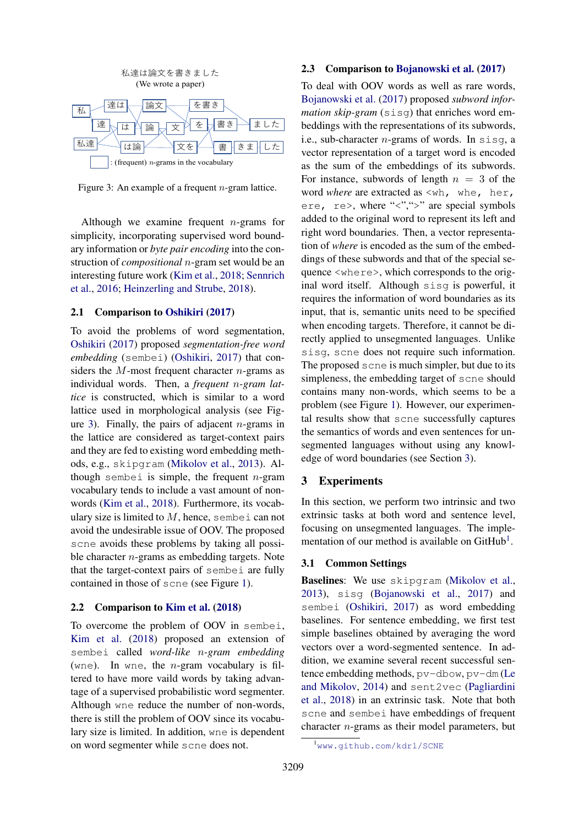

Figure 3: An example of a frequent  $n$ -gram lattice.

Although we examine frequent  $n$ -grams for simplicity, incorporating supervised word boundary information or *byte pair encoding* into the construction of *compositional* n-gram set would be an interesting future work (Kim et al., 2018; Sennrich et al., 2016; Heinzerling and Strube, 2018).

#### 2.1 Comparison to Oshikiri (2017)

To avoid the problems of word segmentation, Oshikiri (2017) proposed *segmentation-free word embedding* (sembei) (Oshikiri, 2017) that considers the  $M$ -most frequent character *n*-grams as individual words. Then, a *frequent* n*-gram lattice* is constructed, which is similar to a word lattice used in morphological analysis (see Figure 3). Finally, the pairs of adjacent  $n$ -grams in the lattice are considered as target-context pairs and they are fed to existing word embedding methods, e.g., skipgram (Mikolov et al., 2013). Although sembei is simple, the frequent  $n$ -gram vocabulary tends to include a vast amount of nonwords (Kim et al., 2018). Furthermore, its vocabulary size is limited to  $M$ , hence, sembei can not avoid the undesirable issue of OOV. The proposed scne avoids these problems by taking all possible character  $n$ -grams as embedding targets. Note that the target-context pairs of sembei are fully contained in those of scne (see Figure 1).

## 2.2 Comparison to Kim et al. (2018)

To overcome the problem of OOV in sembei, Kim et al. (2018) proposed an extension of sembei called *word-like* n*-gram embedding* (wne). In wne, the *n*-gram vocabulary is filtered to have more vaild words by taking advantage of a supervised probabilistic word segmenter. Although wne reduce the number of non-words, there is still the problem of OOV since its vocabulary size is limited. In addition, wne is dependent on word segmenter while scne does not.

## 2.3 Comparison to Bojanowski et al. (2017)

To deal with OOV words as well as rare words, Bojanowski et al. (2017) proposed *subword information skip-gram* (sisg) that enriches word embeddings with the representations of its subwords, i.e., sub-character  $n$ -grams of words. In sisq, a vector representation of a target word is encoded as the sum of the embeddings of its subwords. For instance, subwords of length  $n = 3$  of the word *where* are extracted as  $\langle \text{whr}, \text{whe}, \text{her}, \rangle$ ere, re>, where "<",">" are special symbols added to the original word to represent its left and right word boundaries. Then, a vector representation of *where* is encoded as the sum of the embeddings of these subwords and that of the special sequence <where>, which corresponds to the original word itself. Although sisg is powerful, it requires the information of word boundaries as its input, that is, semantic units need to be specified when encoding targets. Therefore, it cannot be directly applied to unsegmented languages. Unlike sisg, scne does not require such information. The proposed scne is much simpler, but due to its simpleness, the embedding target of scne should contains many non-words, which seems to be a problem (see Figure 1). However, our experimental results show that scne successfully captures the semantics of words and even sentences for unsegmented languages without using any knowledge of word boundaries (see Section 3).

## 3 Experiments

In this section, we perform two intrinsic and two extrinsic tasks at both word and sentence level, focusing on unsegmented languages. The implementation of our method is available on GitHub<sup>1</sup>.

#### 3.1 Common Settings

Baselines: We use skipgram (Mikolov et al., 2013), sisg (Bojanowski et al., 2017) and sembei (Oshikiri, 2017) as word embedding baselines. For sentence embedding, we first test simple baselines obtained by averaging the word vectors over a word-segmented sentence. In addition, we examine several recent successful sentence embedding methods, pv-dbow, pv-dm (Le and Mikolov, 2014) and sent2vec (Pagliardini et al., 2018) in an extrinsic task. Note that both scne and sembei have embeddings of frequent character n-grams as their model parameters, but

<sup>1</sup>www.github.com/kdrl/SCNE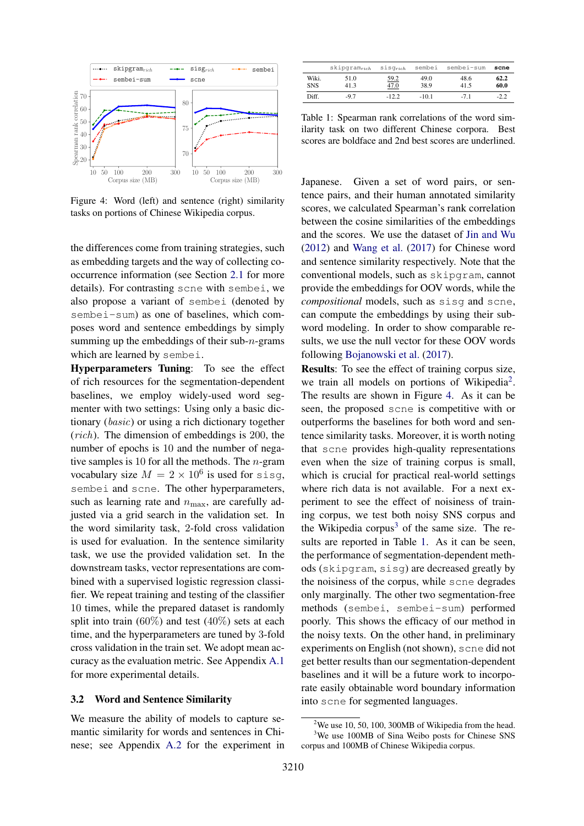

Figure 4: Word (left) and sentence (right) similarity tasks on portions of Chinese Wikipedia corpus.

the differences come from training strategies, such as embedding targets and the way of collecting cooccurrence information (see Section 2.1 for more details). For contrasting scne with sembei, we also propose a variant of sembei (denoted by sembei-sum) as one of baselines, which composes word and sentence embeddings by simply summing up the embeddings of their sub- $n$ -grams which are learned by sembei.

3210 10 50 100 200 300 Hyperparameters Tuning: To see the effect of rich resources for the segmentation-dependent baselines, we employ widely-used word segmenter with two settings: Using only a basic dictionary (basic) or using a rich dictionary together (rich). The dimension of embeddings is 200, the number of epochs is 10 and the number of negative samples is 10 for all the methods. The  $n$ -gram vocabulary size  $M = 2 \times 10^6$  is used for sisg, sembei and scne. The other hyperparameters, such as learning rate and  $n_{\text{max}}$ , are carefully adjusted via a grid search in the validation set. In the word similarity task, 2-fold cross validation is used for evaluation. In the sentence similarity task, we use the provided validation set. In the downstream tasks, vector representations are combined with a supervised logistic regression classifier. We repeat training and testing of the classifier 10 times, while the prepared dataset is randomly split into train (60%) and test (40%) sets at each time, and the hyperparameters are tuned by 3-fold cross validation in the train set. We adopt mean accuracy as the evaluation metric. See Appendix A.1 for more experimental details.

#### 3.2 Word and Sentence Similarity

We measure the ability of models to capture semantic similarity for words and sentences in Chinese; see Appendix A.2 for the experiment in

|                     | $skipgram_{rich}$ | $sisq_{rich}$ | sembei       | sembei-sum   | scne         |
|---------------------|-------------------|---------------|--------------|--------------|--------------|
| Wiki.<br><b>SNS</b> | 51.0<br>41.3      | 59.2<br>47.0  | 49.0<br>38.9 | 48.6<br>41.5 | 62.2<br>60.0 |
| Diff.               | $-9.7$            | $-12.2$       | $-10.1$      | $-7.1$       | $-2.2$       |

Table 1: Spearman rank correlations of the word similarity task on two different Chinese corpora. Best scores are boldface and 2nd best scores are underlined.

Japanese. Given a set of word pairs, or sentence pairs, and their human annotated similarity scores, we calculated Spearman's rank correlation between the cosine similarities of the embeddings and the scores. We use the dataset of Jin and Wu (2012) and Wang et al. (2017) for Chinese word and sentence similarity respectively. Note that the conventional models, such as skipgram, cannot provide the embeddings for OOV words, while the *compositional* models, such as sisg and scne, can compute the embeddings by using their subword modeling. In order to show comparable results, we use the null vector for these OOV words following Bojanowski et al. (2017).

Results: To see the effect of training corpus size, we train all models on portions of Wikipedia<sup>2</sup>. The results are shown in Figure 4. As it can be seen, the proposed scne is competitive with or outperforms the baselines for both word and sentence similarity tasks. Moreover, it is worth noting that scne provides high-quality representations even when the size of training corpus is small, which is crucial for practical real-world settings where rich data is not available. For a next experiment to see the effect of noisiness of training corpus, we test both noisy SNS corpus and the Wikipedia corpus<sup>3</sup> of the same size. The results are reported in Table 1. As it can be seen, the performance of segmentation-dependent methods (skipgram, sisg) are decreased greatly by the noisiness of the corpus, while scne degrades only marginally. The other two segmentation-free methods (sembei, sembei-sum) performed poorly. This shows the efficacy of our method in the noisy texts. On the other hand, in preliminary experiments on English (not shown), scne did not get better results than our segmentation-dependent baselines and it will be a future work to incorporate easily obtainable word boundary information into scne for segmented languages.

<sup>&</sup>lt;sup>2</sup>We use 10, 50, 100, 300MB of Wikipedia from the head. <sup>3</sup>We use 100MB of Sina Weibo posts for Chinese SNS corpus and 100MB of Chinese Wikipedia corpus.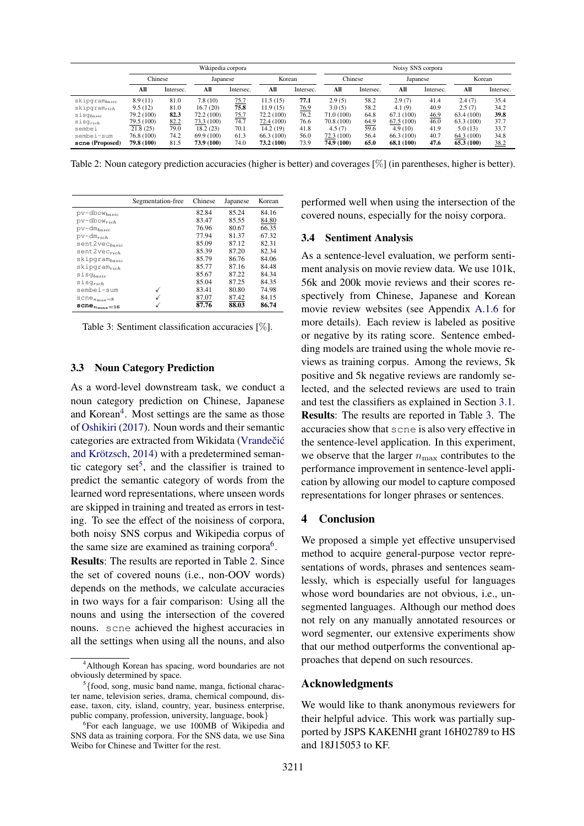|                    | Wikipedia corpora |           |            |                    | Noisy SNS corpora |           |            |           |            |           |            |           |
|--------------------|-------------------|-----------|------------|--------------------|-------------------|-----------|------------|-----------|------------|-----------|------------|-----------|
|                    | Chinese           |           |            | Korean<br>Japanese |                   |           | Chinese    |           | Japanese   |           | Korean     |           |
|                    | All               | Intersec. | All        | Intersec.          | All               | Intersec. | All        | Intersec. | All        | Intersec. | All        | Intersec. |
| $skipgram_{basic}$ | 8.9(11)           | 81.0      | 7.8 (10)   | 75.7               | 11.5(15)          | 77.1      | 2.9(5)     | 58.2      | 2.9(7)     | 41.4      | 2.4(7)     | 35.4      |
| $skipgram_{rich}$  | 9.5(12)           | 81.0      | 16.7(20)   | 75.8               | 11.9(15)          | 76.9      | 3.0(5)     | 58.2      | 4.1(9)     | 40.9      | 2.5(7)     | 34.2      |
| $s$ is $q_{basic}$ | 79.2 (100)        | 82.3      | 72.2 (100) | 75.7               | 72.2 (100)        | 76.2      | 71.0 (100) | 64.8      | 67.1 (100) | 46.9      | 63.4(100)  | 39.8      |
| $s$ is $q_{rich}$  | 79.5 (100)        | 82.2      | 73.3 (100) | 74.7               | 72.4 (100)        | 76.6      | 70.8 (100) | 64.9      | 67.5(100)  | 46.0      | 63.3(100)  | 37.7      |
| sembei             | 21.8(25)          | 79.0      | 18.2(23)   | 70.1               | 14.2(19)          | 41.8      | 4.5(7)     | 59.6      | 4.9(10)    | 41.9      | 5.0(13)    | 33.7      |
| sembei-sum         | 76.8 (100)        | 74.2      | 69.9 (100) | 61.3               | 66.3 (100)        | 56.0      | 72.3(100)  | 56.4      | 66.3 (100) | 40.7      | 64.3 (100) | 34.8      |
| scne (Proposed)    | 79.8 (100)        | 81.5      | 73.9 (100) | 74.0               | 73.2 (100)        | 73.9      | 74.9 (100) | 65.0      | 68.1 (100) | 47.6      | 65.3 (100) | 38.2      |

Table 2: Noun category prediction accuracies (higher is better) and coverages [%] (in parentheses, higher is better).

|                                     | Segmentation-free | Chinese | Japanese | Korean |
|-------------------------------------|-------------------|---------|----------|--------|
| $pv$ -dbow $_{basic}$               |                   | 82.84   | 85.24    | 84.16  |
| $pv$ -dbow $_{rich}$                |                   | 83.47   | 85.55    | 84.80  |
| $pv - dm_{basic}$                   |                   | 76.96   | 80.67    | 66.35  |
| $pv-dm_{rich}$                      |                   | 77.94   | 81.37    | 67.32  |
| sent2vec <sub>basic</sub>           |                   | 85.09   | 87.12    | 82.31  |
| $sent2vec_{rich}$                   |                   | 85.39   | 87.20    | 82.34  |
| skipgram basic                      |                   | 85.79   | 86.76    | 84.06  |
| $skipgram_{rich}$                   |                   | 85.77   | 87.16    | 84.48  |
| $s$ isg $_{basic}$                  |                   | 85.67   | 87.22    | 84.34  |
| $s$ is $g_{rich}$                   |                   | 85.04   | 87.25    | 84.35  |
| sembei-sum                          | $\checkmark$      | 83.41   | 80.80    | 74.98  |
| $\texttt{score}_{n_{\text{max}}=8}$ | $\checkmark$      | 87.07   | 87.42    | 84.15  |
| $\mathtt{score}_{n_{\max}=16}$      | √                 | 87.76   | 88.03    | 86.74  |

Table 3: Sentiment classification accuracies [%].

#### 3.3 Noun Category Prediction

As a word-level downstream task, we conduct a noun category prediction on Chinese, Japanese and Korean<sup>4</sup>. Most settings are the same as those of Oshikiri (2017). Noun words and their semantic categories are extracted from Wikidata (Vrandečić and Krötzsch, 2014) with a predetermined semantic category  $set^5$ , and the classifier is trained to predict the semantic category of words from the learned word representations, where unseen words are skipped in training and treated as errors in testing. To see the effect of the noisiness of corpora, both noisy SNS corpus and Wikipedia corpus of the same size are examined as training corpora $6$ .

Results: The results are reported in Table 2. Since the set of covered nouns (i.e., non-OOV words) depends on the methods, we calculate accuracies in two ways for a fair comparison: Using all the nouns and using the intersection of the covered nouns. scne achieved the highest accuracies in all the settings when using all the nouns, and also performed well when using the intersection of the covered nouns, especially for the noisy corpora.

## 3.4 Sentiment Analysis

As a sentence-level evaluation, we perform sentiment analysis on movie review data. We use 101k, 56k and 200k movie reviews and their scores respectively from Chinese, Japanese and Korean movie review websites (see Appendix A.1.6 for more details). Each review is labeled as positive or negative by its rating score. Sentence embedding models are trained using the whole movie reviews as training corpus. Among the reviews, 5k positive and 5k negative reviews are randomly selected, and the selected reviews are used to train and test the classifiers as explained in Section 3.1. Results: The results are reported in Table 3. The accuracies show that scne is also very effective in the sentence-level application. In this experiment, we observe that the larger  $n_{\text{max}}$  contributes to the performance improvement in sentence-level application by allowing our model to capture composed representations for longer phrases or sentences.

## 4 Conclusion

We proposed a simple yet effective unsupervised method to acquire general-purpose vector representations of words, phrases and sentences seamlessly, which is especially useful for languages whose word boundaries are not obvious, i.e., unsegmented languages. Although our method does not rely on any manually annotated resources or word segmenter, our extensive experiments show that our method outperforms the conventional approaches that depend on such resources.

## Acknowledgments

We would like to thank anonymous reviewers for their helpful advice. This work was partially supported by JSPS KAKENHI grant 16H02789 to HS and 18J15053 to KF.

<sup>4</sup>Although Korean has spacing, word boundaries are not obviously determined by space.

 $<sup>5</sup>$  {food, song, music band name, manga, fictional charac-</sup> ter name, television series, drama, chemical compound, disease, taxon, city, island, country, year, business enterprise, public company, profession, university, language, book}

<sup>&</sup>lt;sup>6</sup>For each language, we use 100MB of Wikipedia and SNS data as training corpora. For the SNS data, we use Sina Weibo for Chinese and Twitter for the rest.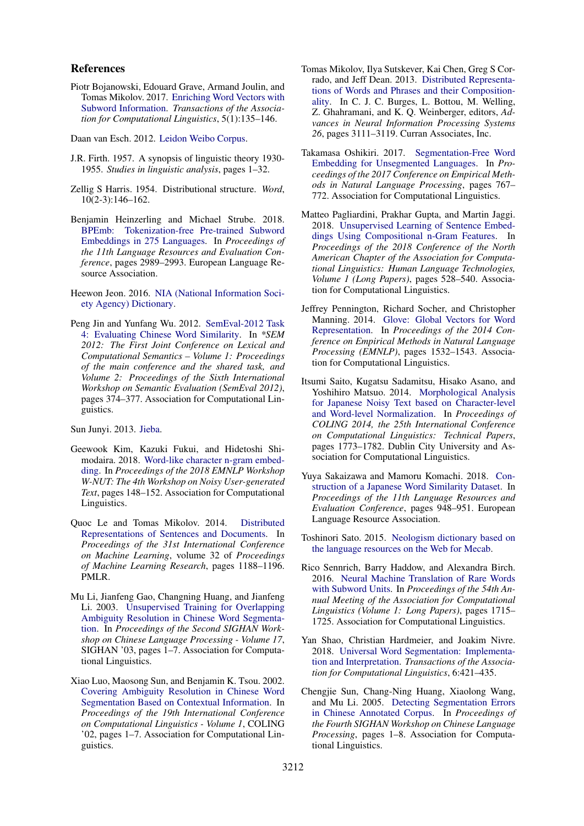### References

Piotr Bojanowski, Edouard Grave, Armand Joulin, and Tomas Mikolov. 2017. Enriching Word Vectors with Subword Information. *Transactions of the Association for Computational Linguistics*, 5(1):135–146.

Daan van Esch. 2012. Leidon Weibo Corpus.

- J.R. Firth. 1957. A synopsis of linguistic theory 1930- 1955. *Studies in linguistic analysis*, pages 1–32.
- Zellig S Harris. 1954. Distributional structure. *Word*, 10(2-3):146–162.
- Benjamin Heinzerling and Michael Strube. 2018. BPEmb: Tokenization-free Pre-trained Subword Embeddings in 275 Languages. In *Proceedings of the 11th Language Resources and Evaluation Conference*, pages 2989–2993. European Language Resource Association.

Heewon Jeon. 2016. NIA (National Information Society Agency) Dictionary.

Peng Jin and Yunfang Wu. 2012. SemEval-2012 Task 4: Evaluating Chinese Word Similarity. In *\*SEM 2012: The First Joint Conference on Lexical and Computational Semantics – Volume 1: Proceedings of the main conference and the shared task, and Volume 2: Proceedings of the Sixth International Workshop on Semantic Evaluation (SemEval 2012)*, pages 374–377. Association for Computational Linguistics.

Sun Junyi. 2013. Jieba.

- Geewook Kim, Kazuki Fukui, and Hidetoshi Shimodaira. 2018. Word-like character n-gram embedding. In *Proceedings of the 2018 EMNLP Workshop W-NUT: The 4th Workshop on Noisy User-generated Text*, pages 148–152. Association for Computational Linguistics.
- Quoc Le and Tomas Mikolov. 2014. Distributed Representations of Sentences and Documents. In *Proceedings of the 31st International Conference on Machine Learning*, volume 32 of *Proceedings of Machine Learning Research*, pages 1188–1196. PMLR.
- Mu Li, Jianfeng Gao, Changning Huang, and Jianfeng Li. 2003. Unsupervised Training for Overlapping Ambiguity Resolution in Chinese Word Segmentation. In *Proceedings of the Second SIGHAN Workshop on Chinese Language Processing - Volume 17*, SIGHAN '03, pages 1-7. Association for Computational Linguistics.
- Xiao Luo, Maosong Sun, and Benjamin K. Tsou. 2002. Covering Ambiguity Resolution in Chinese Word Segmentation Based on Contextual Information. In *Proceedings of the 19th International Conference on Computational Linguistics - Volume 1*, COLING '02, pages 1–7. Association for Computational Linguistics.
- Tomas Mikolov, Ilya Sutskever, Kai Chen, Greg S Corrado, and Jeff Dean. 2013. Distributed Representations of Words and Phrases and their Compositionality. In C. J. C. Burges, L. Bottou, M. Welling, Z. Ghahramani, and K. Q. Weinberger, editors, *Advances in Neural Information Processing Systems 26*, pages 3111–3119. Curran Associates, Inc.
- Takamasa Oshikiri. 2017. Segmentation-Free Word Embedding for Unsegmented Languages. In *Proceedings of the 2017 Conference on Empirical Methods in Natural Language Processing*, pages 767– 772. Association for Computational Linguistics.
- Matteo Pagliardini, Prakhar Gupta, and Martin Jaggi. 2018. Unsupervised Learning of Sentence Embeddings Using Compositional n-Gram Features. In *Proceedings of the 2018 Conference of the North American Chapter of the Association for Computational Linguistics: Human Language Technologies, Volume 1 (Long Papers)*, pages 528–540. Association for Computational Linguistics.
- Jeffrey Pennington, Richard Socher, and Christopher Manning. 2014. Glove: Global Vectors for Word Representation. In *Proceedings of the 2014 Conference on Empirical Methods in Natural Language Processing (EMNLP)*, pages 1532–1543. Association for Computational Linguistics.
- Itsumi Saito, Kugatsu Sadamitsu, Hisako Asano, and Yoshihiro Matsuo. 2014. Morphological Analysis for Japanese Noisy Text based on Character-level and Word-level Normalization. In *Proceedings of COLING 2014, the 25th International Conference on Computational Linguistics: Technical Papers*, pages 1773–1782. Dublin City University and Association for Computational Linguistics.
- Yuya Sakaizawa and Mamoru Komachi. 2018. Construction of a Japanese Word Similarity Dataset. In *Proceedings of the 11th Language Resources and Evaluation Conference*, pages 948–951. European Language Resource Association.
- Toshinori Sato. 2015. Neologism dictionary based on the language resources on the Web for Mecab.
- Rico Sennrich, Barry Haddow, and Alexandra Birch. 2016. Neural Machine Translation of Rare Words with Subword Units. In *Proceedings of the 54th Annual Meeting of the Association for Computational Linguistics (Volume 1: Long Papers)*, pages 1715– 1725. Association for Computational Linguistics.
- Yan Shao, Christian Hardmeier, and Joakim Nivre. 2018. Universal Word Segmentation: Implementation and Interpretation. *Transactions of the Association for Computational Linguistics*, 6:421–435.
- Chengjie Sun, Chang-Ning Huang, Xiaolong Wang, and Mu Li. 2005. Detecting Segmentation Errors in Chinese Annotated Corpus. In *Proceedings of the Fourth SIGHAN Workshop on Chinese Language Processing*, pages 1–8. Association for Computational Linguistics.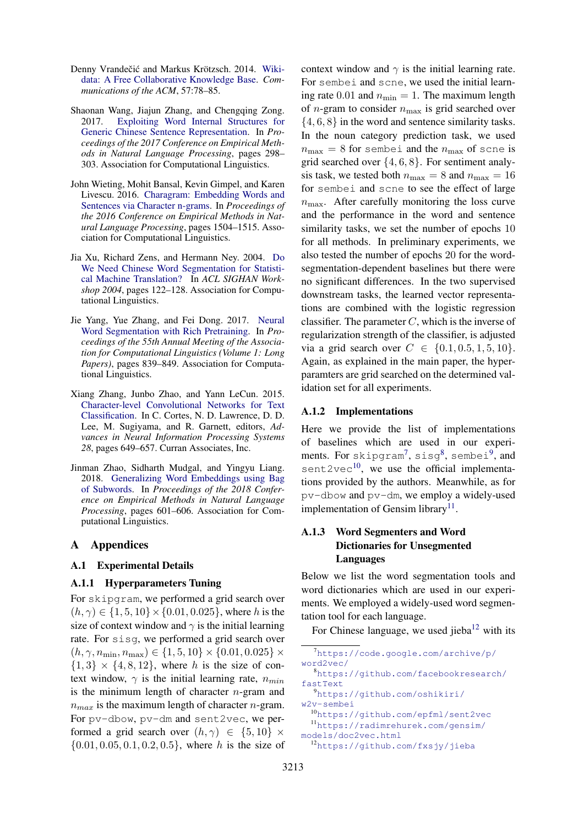- Denny Vrandečić and Markus Krötzsch. 2014. Wikidata: A Free Collaborative Knowledge Base. *Communications of the ACM*, 57:78–85.
- Shaonan Wang, Jiajun Zhang, and Chengqing Zong. 2017. Exploiting Word Internal Structures for Generic Chinese Sentence Representation. In *Proceedings of the 2017 Conference on Empirical Methods in Natural Language Processing*, pages 298– 303. Association for Computational Linguistics.
- John Wieting, Mohit Bansal, Kevin Gimpel, and Karen Livescu. 2016. Charagram: Embedding Words and Sentences via Character n-grams. In *Proceedings of the 2016 Conference on Empirical Methods in Natural Language Processing*, pages 1504–1515. Association for Computational Linguistics.
- Jia Xu, Richard Zens, and Hermann Ney. 2004. Do We Need Chinese Word Segmentation for Statistical Machine Translation? In *ACL SIGHAN Workshop 2004*, pages 122–128. Association for Computational Linguistics.
- Jie Yang, Yue Zhang, and Fei Dong. 2017. Neural Word Segmentation with Rich Pretraining. In *Proceedings of the 55th Annual Meeting of the Association for Computational Linguistics (Volume 1: Long Papers)*, pages 839–849. Association for Computational Linguistics.
- Xiang Zhang, Junbo Zhao, and Yann LeCun. 2015. Character-level Convolutional Networks for Text Classification. In C. Cortes, N. D. Lawrence, D. D. Lee, M. Sugiyama, and R. Garnett, editors, *Advances in Neural Information Processing Systems 28*, pages 649–657. Curran Associates, Inc.
- Jinman Zhao, Sidharth Mudgal, and Yingyu Liang. 2018. Generalizing Word Embeddings using Bag of Subwords. In *Proceedings of the 2018 Conference on Empirical Methods in Natural Language Processing*, pages 601–606. Association for Computational Linguistics.

## A Appendices

## A.1 Experimental Details

## A.1.1 Hyperparameters Tuning

For skipgram, we performed a grid search over  $(h, \gamma) \in \{1, 5, 10\} \times \{0.01, 0.025\}$ , where h is the size of context window and  $\gamma$  is the initial learning rate. For sisg, we performed a grid search over  $(h, \gamma, n_{\min}, n_{\max}) \in \{1, 5, 10\} \times \{0.01, 0.025\} \times$  ${1, 3} \times {4, 8, 12}$ , where h is the size of context window,  $\gamma$  is the initial learning rate,  $n_{min}$ is the minimum length of character  $n$ -gram and  $n_{max}$  is the maximum length of character *n*-gram. For pv-dbow, pv-dm and sent2vec, we performed a grid search over  $(h, \gamma) \in \{5, 10\} \times$  $\{0.01, 0.05, 0.1, 0.2, 0.5\}$ , where h is the size of

context window and  $\gamma$  is the initial learning rate. For sembei and scne, we used the initial learning rate 0.01 and  $n_{\min} = 1$ . The maximum length of *n*-gram to consider  $n_{\text{max}}$  is grid searched over  $\{4, 6, 8\}$  in the word and sentence similarity tasks. In the noun category prediction task, we used  $n_{\text{max}} = 8$  for sembei and the  $n_{\text{max}}$  of scne is grid searched over  $\{4, 6, 8\}$ . For sentiment analysis task, we tested both  $n_{\text{max}} = 8$  and  $n_{\text{max}} = 16$ for sembei and scne to see the effect of large  $n_{\text{max}}$ . After carefully monitoring the loss curve and the performance in the word and sentence similarity tasks, we set the number of epochs 10 for all methods. In preliminary experiments, we also tested the number of epochs 20 for the wordsegmentation-dependent baselines but there were no significant differences. In the two supervised downstream tasks, the learned vector representations are combined with the logistic regression classifier. The parameter  $C$ , which is the inverse of regularization strength of the classifier, is adjusted via a grid search over  $C \in \{0.1, 0.5, 1, 5, 10\}.$ Again, as explained in the main paper, the hyperparamters are grid searched on the determined validation set for all experiments.

## A.1.2 Implementations

Here we provide the list of implementations of baselines which are used in our experiments. For skipgram<sup>7</sup>, sisg<sup>8</sup>, sembei<sup>9</sup>, and sent  $2$ vec<sup>10</sup>, we use the official implementations provided by the authors. Meanwhile, as for pv-dbow and pv-dm, we employ a widely-used implementation of Gensim library<sup>11</sup>.

# A.1.3 Word Segmenters and Word Dictionaries for Unsegmented Languages

Below we list the word segmentation tools and word dictionaries which are used in our experiments. We employed a widely-used word segmentation tool for each language.

For Chinese language, we used jieba $12$  with its

```
7https://code.google.com/archive/p/
word2vec/
  8https://github.com/facebookresearch/
fastText
  9https://github.com/oshikiri/
w2v-sembei
```
<sup>10</sup>https://github.com/epfml/sent2vec <sup>11</sup>https://radimrehurek.com/gensim/ models/doc2vec.html

<sup>12</sup>https://github.com/fxsjy/jieba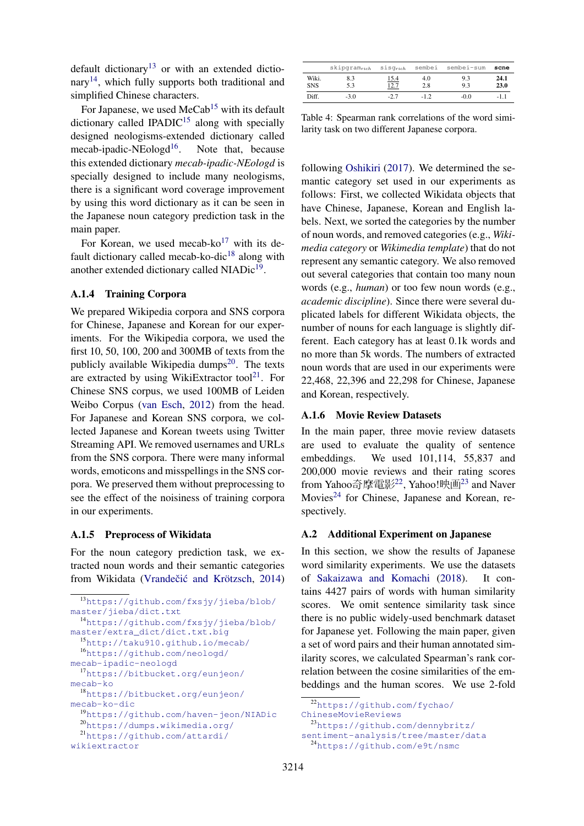default dictionary<sup>13</sup> or with an extended dictionary<sup>14</sup>, which fully supports both traditional and simplified Chinese characters.

For Japanese, we used  $MeCab<sup>15</sup>$  with its default dictionary called IPADI $C^{15}$  along with specially designed neologisms-extended dictionary called mecab-ipadic-NEologd<sup>16</sup>. Note that, because this extended dictionary *mecab-ipadic-NEologd* is specially designed to include many neologisms, there is a significant word coverage improvement by using this word dictionary as it can be seen in the Japanese noun category prediction task in the main paper.

For Korean, we used mecab- $ko^{17}$  with its default dictionary called mecab-ko-dic<sup>18</sup> along with another extended dictionary called NIADic<sup>19</sup>.

## A.1.4 Training Corpora

We prepared Wikipedia corpora and SNS corpora for Chinese, Japanese and Korean for our experiments. For the Wikipedia corpora, we used the first 10, 50, 100, 200 and 300MB of texts from the publicly available Wikipedia dumps $^{20}$ . The texts are extracted by using WikiExtractor tool<sup>21</sup>. For Chinese SNS corpus, we used 100MB of Leiden Weibo Corpus (van Esch, 2012) from the head. For Japanese and Korean SNS corpora, we collected Japanese and Korean tweets using Twitter Streaming API. We removed usernames and URLs from the SNS corpora. There were many informal words, emoticons and misspellings in the SNS corpora. We preserved them without preprocessing to see the effect of the noisiness of training corpora in our experiments.

## A.1.5 Preprocess of Wikidata

For the noun category prediction task, we extracted noun words and their semantic categories from Wikidata (Vrandečić and Krötzsch, 2014)

```
13https://github.com/fxsjy/jieba/blob/
master/jieba/dict.txt
 14https://github.com/fxsjy/jieba/blob/
master/extra_dict/dict.txt.big
 15http://taku910.github.io/mecab/
 16https://github.com/neologd/
mecab-ipadic-neologd
 17https://bitbucket.org/eunjeon/
mecab-ko
 18https://bitbucket.org/eunjeon/
mecab-ko-dic
 19https://github.com/haven-jeon/NIADic
 20https://dumps.wikimedia.org/
 21https://github.com/attardi/
wikiextractor
```

|                     | $skipgram_{rich}$ | $\texttt{sig}_{rich}$ | sembei     | sembei-sum | scne         |
|---------------------|-------------------|-----------------------|------------|------------|--------------|
| Wiki.<br><b>SNS</b> | 8.3<br>5.3        | <u>15.4</u><br>12.7   | 4.0<br>2.8 | 9.3<br>9.3 | 24.1<br>23.0 |
| Diff.               | $-3.0$            | $-2.7$                | $-1.2$     | $-0.0$     | $-1.1$       |

Table 4: Spearman rank correlations of the word similarity task on two different Japanese corpora.

following Oshikiri (2017). We determined the semantic category set used in our experiments as follows: First, we collected Wikidata objects that have Chinese, Japanese, Korean and English labels. Next, we sorted the categories by the number of noun words, and removed categories (e.g., *Wikimedia category* or *Wikimedia template*) that do not represent any semantic category. We also removed out several categories that contain too many noun words (e.g., *human*) or too few noun words (e.g., *academic discipline*). Since there were several duplicated labels for different Wikidata objects, the number of nouns for each language is slightly different. Each category has at least 0.1k words and no more than 5k words. The numbers of extracted noun words that are used in our experiments were 22,468, 22,396 and 22,298 for Chinese, Japanese and Korean, respectively.

## A.1.6 Movie Review Datasets

In the main paper, three movie review datasets are used to evaluate the quality of sentence embeddings. We used 101,114, 55,837 and 200,000 movie reviews and their rating scores from Yahoo奇摩電影22, Yahoo!映画<sup>23</sup> and Naver Movies<sup>24</sup> for Chinese, Japanese and Korean, respectively.

## A.2 Additional Experiment on Japanese

In this section, we show the results of Japanese word similarity experiments. We use the datasets of Sakaizawa and Komachi (2018). It contains 4427 pairs of words with human similarity scores. We omit sentence similarity task since there is no public widely-used benchmark dataset for Japanese yet. Following the main paper, given a set of word pairs and their human annotated similarity scores, we calculated Spearman's rank correlation between the cosine similarities of the embeddings and the human scores. We use 2-fold

```
ChineseMovieReviews
```
<sup>23</sup>https://github.com/dennybritz/ sentiment-analysis/tree/master/data

```
24https://github.com/e9t/nsmc
```
<sup>22</sup>https://github.com/fychao/